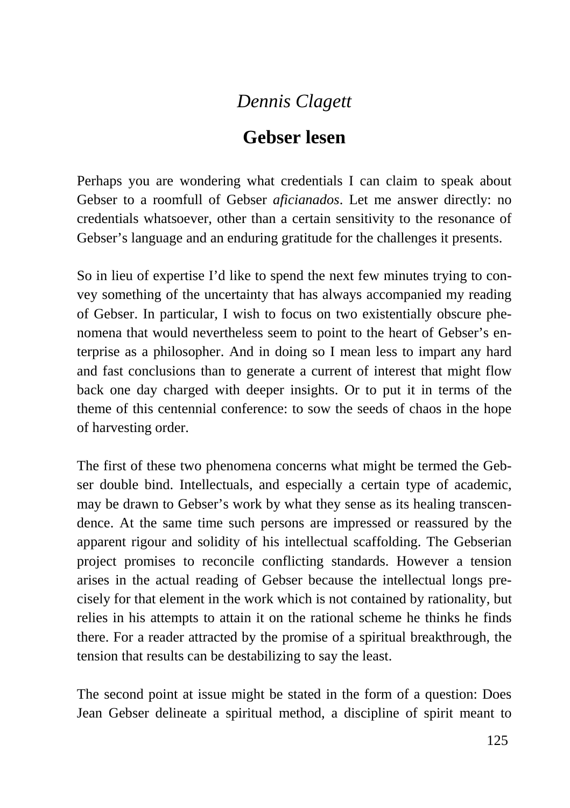## *Dennis Clagett*

## **Gebser lesen**

Perhaps you are wondering what credentials I can claim to speak about Gebser to a roomfull of Gebser *aficianados*. Let me answer directly: no credentials whatsoever, other than a certain sensitivity to the resonance of Gebser's language and an enduring gratitude for the challenges it presents.

So in lieu of expertise I'd like to spend the next few minutes trying to convey something of the uncertainty that has always accompanied my reading of Gebser. In particular, I wish to focus on two existentially obscure phenomena that would nevertheless seem to point to the heart of Gebser's enterprise as a philosopher. And in doing so I mean less to impart any hard and fast conclusions than to generate a current of interest that might flow back one day charged with deeper insights. Or to put it in terms of the theme of this centennial conference: to sow the seeds of chaos in the hope of harvesting order.

The first of these two phenomena concerns what might be termed the Gebser double bind. Intellectuals, and especially a certain type of academic, may be drawn to Gebser's work by what they sense as its healing transcendence. At the same time such persons are impressed or reassured by the apparent rigour and solidity of his intellectual scaffolding. The Gebserian project promises to reconcile conflicting standards. However a tension arises in the actual reading of Gebser because the intellectual longs precisely for that element in the work which is not contained by rationality, but relies in his attempts to attain it on the rational scheme he thinks he finds there. For a reader attracted by the promise of a spiritual breakthrough, the tension that results can be destabilizing to say the least.

The second point at issue might be stated in the form of a question: Does Jean Gebser delineate a spiritual method, a discipline of spirit meant to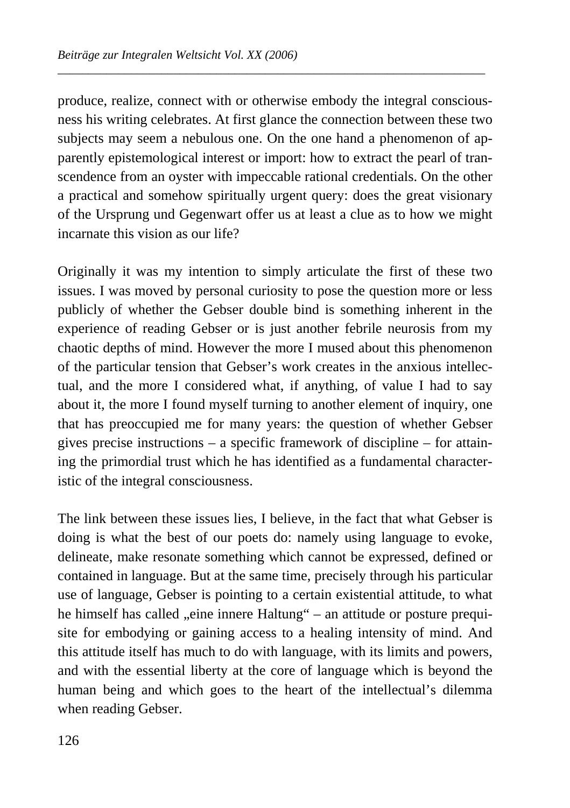produce, realize, connect with or otherwise embody the integral consciousness his writing celebrates. At first glance the connection between these two subjects may seem a nebulous one. On the one hand a phenomenon of apparently epistemological interest or import: how to extract the pearl of transcendence from an oyster with impeccable rational credentials. On the other a practical and somehow spiritually urgent query: does the great visionary of the Ursprung und Gegenwart offer us at least a clue as to how we might incarnate this vision as our life?

*\_\_\_\_\_\_\_\_\_\_\_\_\_\_\_\_\_\_\_\_\_\_\_\_\_\_\_\_\_\_\_\_\_\_\_\_\_\_\_\_\_\_\_\_\_\_\_\_\_\_\_\_\_\_\_\_\_\_\_\_\_\_\_\_\_\_\_\_\_\_* 

Originally it was my intention to simply articulate the first of these two issues. I was moved by personal curiosity to pose the question more or less publicly of whether the Gebser double bind is something inherent in the experience of reading Gebser or is just another febrile neurosis from my chaotic depths of mind. However the more I mused about this phenomenon of the particular tension that Gebser's work creates in the anxious intellectual, and the more I considered what, if anything, of value I had to say about it, the more I found myself turning to another element of inquiry, one that has preoccupied me for many years: the question of whether Gebser gives precise instructions – a specific framework of discipline – for attaining the primordial trust which he has identified as a fundamental characteristic of the integral consciousness.

The link between these issues lies, I believe, in the fact that what Gebser is doing is what the best of our poets do: namely using language to evoke, delineate, make resonate something which cannot be expressed, defined or contained in language. But at the same time, precisely through his particular use of language, Gebser is pointing to a certain existential attitude, to what he himself has called "eine innere Haltung" – an attitude or posture prequisite for embodying or gaining access to a healing intensity of mind. And this attitude itself has much to do with language, with its limits and powers, and with the essential liberty at the core of language which is beyond the human being and which goes to the heart of the intellectual's dilemma when reading Gebser.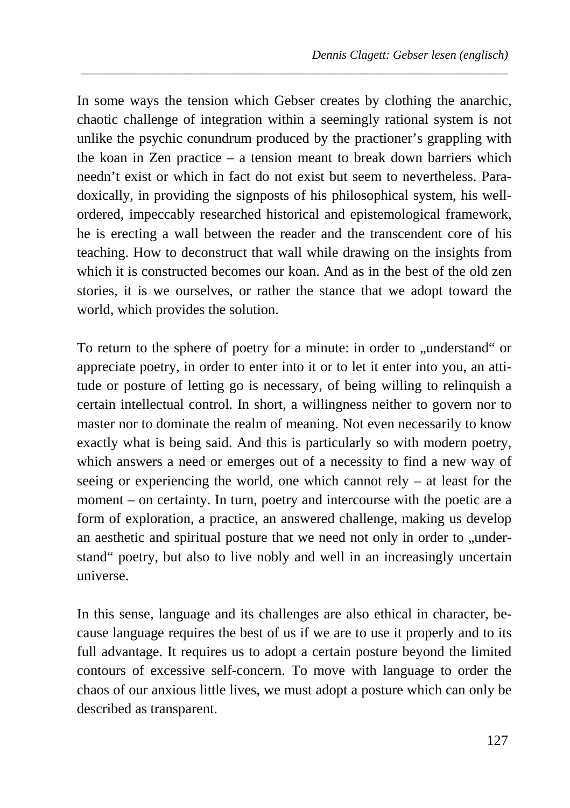In some ways the tension which Gebser creates by clothing the anarchic, chaotic challenge of integration within a seemingly rational system is not unlike the psychic conundrum produced by the practioner's grappling with the koan in Zen practice – a tension meant to break down barriers which needn't exist or which in fact do not exist but seem to nevertheless. Paradoxically, in providing the signposts of his philosophical system, his wellordered, impeccably researched historical and epistemological framework, he is erecting a wall between the reader and the transcendent core of his teaching. How to deconstruct that wall while drawing on the insights from which it is constructed becomes our koan. And as in the best of the old zen stories, it is we ourselves, or rather the stance that we adopt toward the world, which provides the solution.

*\_\_\_\_\_\_\_\_\_\_\_\_\_\_\_\_\_\_\_\_\_\_\_\_\_\_\_\_\_\_\_\_\_\_\_\_\_\_\_\_\_\_\_\_\_\_\_\_\_\_\_\_\_\_\_\_\_\_\_\_\_\_\_\_\_\_\_\_\_\_* 

To return to the sphere of poetry for a minute: in order to "understand" or appreciate poetry, in order to enter into it or to let it enter into you, an attitude or posture of letting go is necessary, of being willing to relinquish a certain intellectual control. In short, a willingness neither to govern nor to master nor to dominate the realm of meaning. Not even necessarily to know exactly what is being said. And this is particularly so with modern poetry, which answers a need or emerges out of a necessity to find a new way of seeing or experiencing the world, one which cannot rely  $-$  at least for the moment – on certainty. In turn, poetry and intercourse with the poetic are a form of exploration, a practice, an answered challenge, making us develop an aesthetic and spiritual posture that we need not only in order to "understand" poetry, but also to live nobly and well in an increasingly uncertain universe.

In this sense, language and its challenges are also ethical in character, because language requires the best of us if we are to use it properly and to its full advantage. It requires us to adopt a certain posture beyond the limited contours of excessive self-concern. To move with language to order the chaos of our anxious little lives, we must adopt a posture which can only be described as transparent.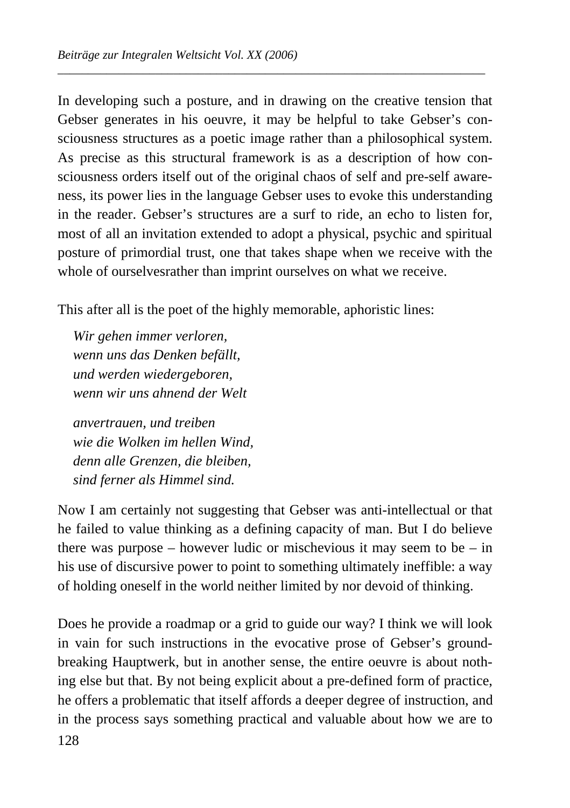In developing such a posture, and in drawing on the creative tension that Gebser generates in his oeuvre, it may be helpful to take Gebser's consciousness structures as a poetic image rather than a philosophical system. As precise as this structural framework is as a description of how consciousness orders itself out of the original chaos of self and pre-self awareness, its power lies in the language Gebser uses to evoke this understanding in the reader. Gebser's structures are a surf to ride, an echo to listen for, most of all an invitation extended to adopt a physical, psychic and spiritual posture of primordial trust, one that takes shape when we receive with the whole of ourselvesrather than imprint ourselves on what we receive.

*\_\_\_\_\_\_\_\_\_\_\_\_\_\_\_\_\_\_\_\_\_\_\_\_\_\_\_\_\_\_\_\_\_\_\_\_\_\_\_\_\_\_\_\_\_\_\_\_\_\_\_\_\_\_\_\_\_\_\_\_\_\_\_\_\_\_\_\_\_\_* 

This after all is the poet of the highly memorable, aphoristic lines:

*Wir gehen immer verloren, wenn uns das Denken befällt, und werden wiedergeboren, wenn wir uns ahnend der Welt* 

*anvertrauen, und treiben wie die Wolken im hellen Wind, denn alle Grenzen, die bleiben, sind ferner als Himmel sind.* 

Now I am certainly not suggesting that Gebser was anti-intellectual or that he failed to value thinking as a defining capacity of man. But I do believe there was purpose – however ludic or mischevious it may seem to be – in his use of discursive power to point to something ultimately ineffible: a way of holding oneself in the world neither limited by nor devoid of thinking.

128 Does he provide a roadmap or a grid to guide our way? I think we will look in vain for such instructions in the evocative prose of Gebser's groundbreaking Hauptwerk, but in another sense, the entire oeuvre is about nothing else but that. By not being explicit about a pre-defined form of practice, he offers a problematic that itself affords a deeper degree of instruction, and in the process says something practical and valuable about how we are to